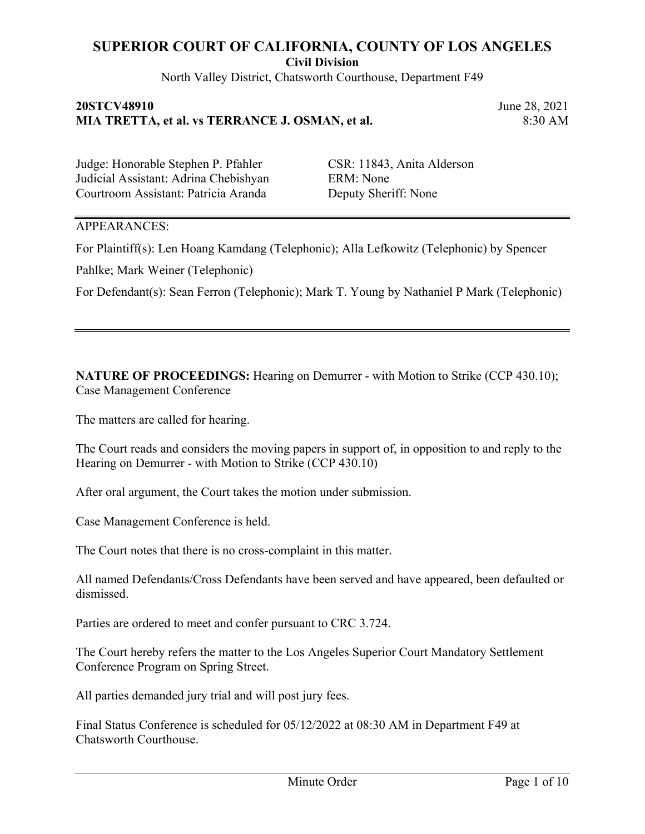North Valley District, Chatsworth Courthouse, Department F49

#### **20STCV48910** June 28, 2021 **MIA TRETTA, et al. vs TERRANCE J. OSMAN, et al.** 8:30 AM

Judge: Honorable Stephen P. Pfahler CSR: 11843, Anita Alderson Judicial Assistant: Adrina Chebishyan ERM: None Courtroom Assistant: Patricia Aranda Deputy Sheriff: None

### APPEARANCES:

For Plaintiff(s): Len Hoang Kamdang (Telephonic); Alla Lefkowitz (Telephonic) by Spencer

Pahlke; Mark Weiner (Telephonic)

For Defendant(s): Sean Ferron (Telephonic); Mark T. Young by Nathaniel P Mark (Telephonic)

**NATURE OF PROCEEDINGS:** Hearing on Demurrer - with Motion to Strike (CCP 430.10); Case Management Conference

The matters are called for hearing.

The Court reads and considers the moving papers in support of, in opposition to and reply to the Hearing on Demurrer - with Motion to Strike (CCP 430.10)

After oral argument, the Court takes the motion under submission.

Case Management Conference is held.

The Court notes that there is no cross-complaint in this matter.

All named Defendants/Cross Defendants have been served and have appeared, been defaulted or dismissed.

Parties are ordered to meet and confer pursuant to CRC 3.724.

The Court hereby refers the matter to the Los Angeles Superior Court Mandatory Settlement Conference Program on Spring Street.

All parties demanded jury trial and will post jury fees.

Final Status Conference is scheduled for 05/12/2022 at 08:30 AM in Department F49 at Chatsworth Courthouse.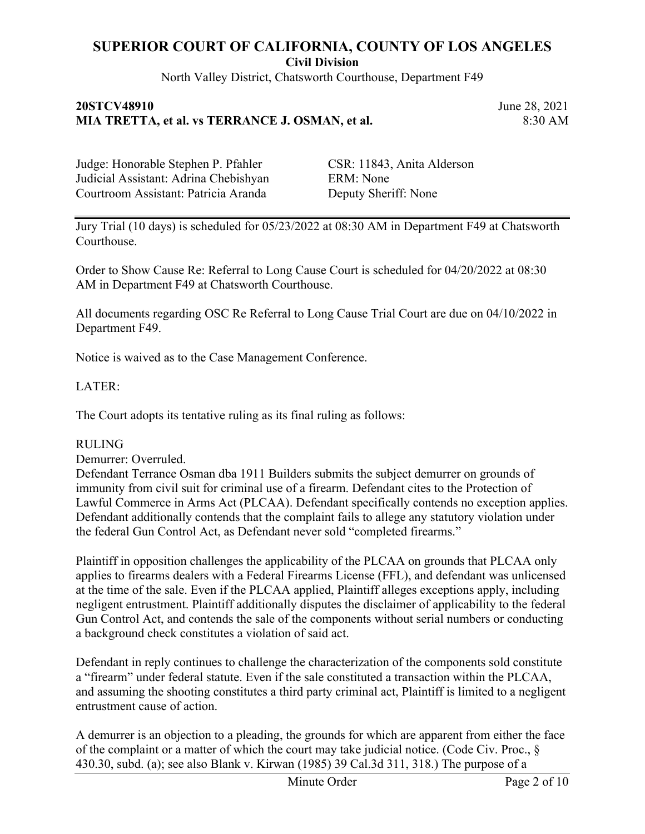North Valley District, Chatsworth Courthouse, Department F49

### **20STCV48910** June 28, 2021 **MIA TRETTA, et al. vs TERRANCE J. OSMAN, et al.** 8:30 AM

Judge: Honorable Stephen P. Pfahler CSR: 11843, Anita Alderson Judicial Assistant: Adrina Chebishyan ERM: None Courtroom Assistant: Patricia Aranda Deputy Sheriff: None

Jury Trial (10 days) is scheduled for 05/23/2022 at 08:30 AM in Department F49 at Chatsworth Courthouse.

Order to Show Cause Re: Referral to Long Cause Court is scheduled for 04/20/2022 at 08:30 AM in Department F49 at Chatsworth Courthouse.

All documents regarding OSC Re Referral to Long Cause Trial Court are due on 04/10/2022 in Department F49.

Notice is waived as to the Case Management Conference.

#### LATER:

The Court adopts its tentative ruling as its final ruling as follows:

#### RULING

Demurrer: Overruled.

Defendant Terrance Osman dba 1911 Builders submits the subject demurrer on grounds of immunity from civil suit for criminal use of a firearm. Defendant cites to the Protection of Lawful Commerce in Arms Act (PLCAA). Defendant specifically contends no exception applies. Defendant additionally contends that the complaint fails to allege any statutory violation under the federal Gun Control Act, as Defendant never sold "completed firearms."

Plaintiff in opposition challenges the applicability of the PLCAA on grounds that PLCAA only applies to firearms dealers with a Federal Firearms License (FFL), and defendant was unlicensed at the time of the sale. Even if the PLCAA applied, Plaintiff alleges exceptions apply, including negligent entrustment. Plaintiff additionally disputes the disclaimer of applicability to the federal Gun Control Act, and contends the sale of the components without serial numbers or conducting a background check constitutes a violation of said act.

Defendant in reply continues to challenge the characterization of the components sold constitute a "firearm" under federal statute. Even if the sale constituted a transaction within the PLCAA, and assuming the shooting constitutes a third party criminal act, Plaintiff is limited to a negligent entrustment cause of action.

A demurrer is an objection to a pleading, the grounds for which are apparent from either the face of the complaint or a matter of which the court may take judicial notice. (Code Civ. Proc., § 430.30, subd. (a); see also Blank v. Kirwan (1985) 39 Cal.3d 311, 318.) The purpose of a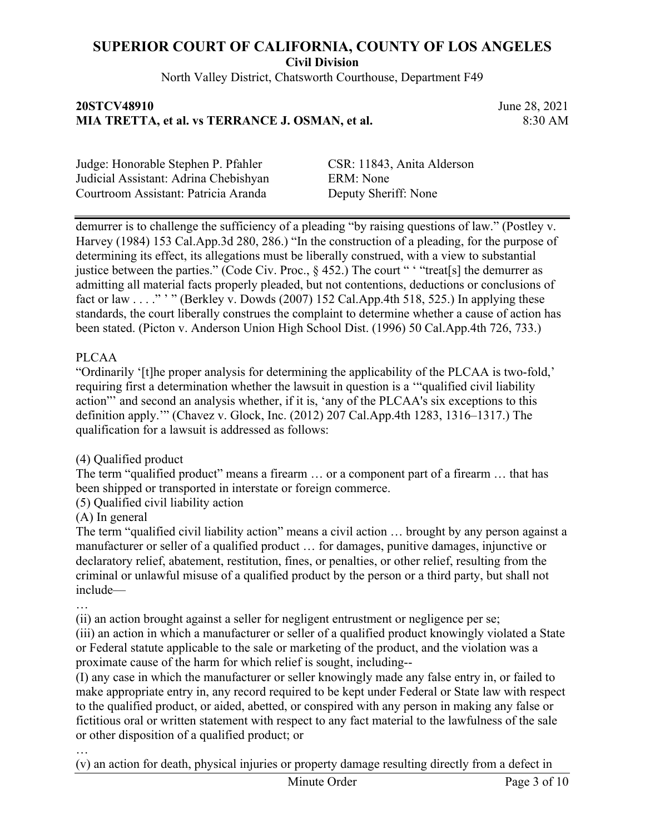North Valley District, Chatsworth Courthouse, Department F49

### **20STCV48910** June 28, 2021 **MIA TRETTA, et al. vs TERRANCE J. OSMAN, et al.** 8:30 AM

Judge: Honorable Stephen P. Pfahler CSR: 11843, Anita Alderson Judicial Assistant: Adrina Chebishyan ERM: None Courtroom Assistant: Patricia Aranda Deputy Sheriff: None

demurrer is to challenge the sufficiency of a pleading "by raising questions of law." (Postley v. Harvey (1984) 153 Cal.App.3d 280, 286.) "In the construction of a pleading, for the purpose of determining its effect, its allegations must be liberally construed, with a view to substantial justice between the parties." (Code Civ. Proc., § 452.) The court " ' "treat[s] the demurrer as admitting all material facts properly pleaded, but not contentions, deductions or conclusions of fact or law . . . ." " " (Berkley v. Dowds (2007) 152 Cal.App.4th 518, 525.) In applying these standards, the court liberally construes the complaint to determine whether a cause of action has been stated. (Picton v. Anderson Union High School Dist. (1996) 50 Cal.App.4th 726, 733.)

### PLCAA

"Ordinarily '[t]he proper analysis for determining the applicability of the PLCAA is two-fold,' requiring first a determination whether the lawsuit in question is a '"qualified civil liability action"' and second an analysis whether, if it is, 'any of the PLCAA's six exceptions to this definition apply.'" (Chavez v. Glock, Inc. (2012) 207 Cal.App.4th 1283, 1316–1317.) The qualification for a lawsuit is addressed as follows:

(4) Qualified product

The term "qualified product" means a firearm … or a component part of a firearm … that has been shipped or transported in interstate or foreign commerce.

(5) Qualified civil liability action

(A) In general

…

The term "qualified civil liability action" means a civil action … brought by any person against a manufacturer or seller of a qualified product … for damages, punitive damages, injunctive or declaratory relief, abatement, restitution, fines, or penalties, or other relief, resulting from the criminal or unlawful misuse of a qualified product by the person or a third party, but shall not include—

(ii) an action brought against a seller for negligent entrustment or negligence per se;

(iii) an action in which a manufacturer or seller of a qualified product knowingly violated a State or Federal statute applicable to the sale or marketing of the product, and the violation was a proximate cause of the harm for which relief is sought, including--

(I) any case in which the manufacturer or seller knowingly made any false entry in, or failed to make appropriate entry in, any record required to be kept under Federal or State law with respect to the qualified product, or aided, abetted, or conspired with any person in making any false or fictitious oral or written statement with respect to any fact material to the lawfulness of the sale or other disposition of a qualified product; or

… (v) an action for death, physical injuries or property damage resulting directly from a defect in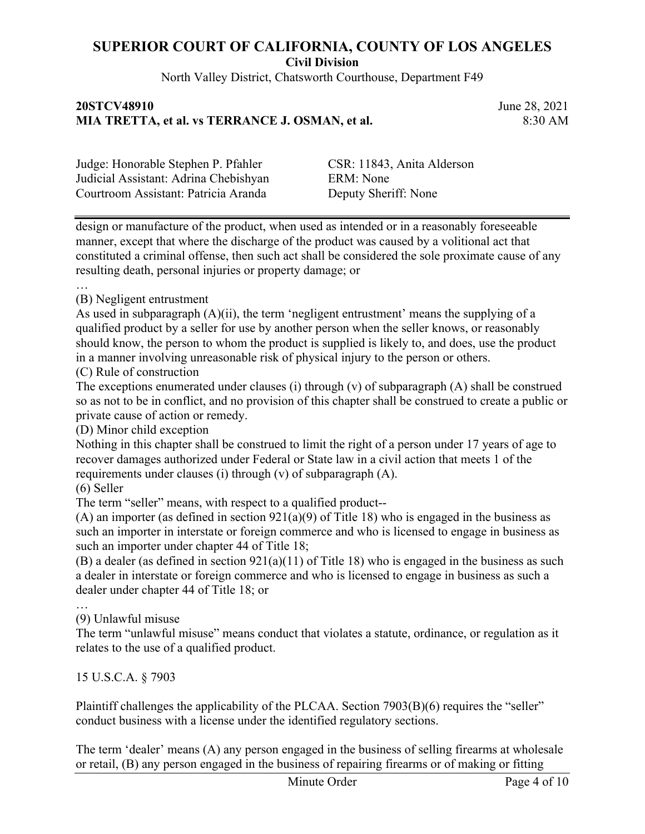North Valley District, Chatsworth Courthouse, Department F49

### **20STCV48910** June 28, 2021 **MIA TRETTA, et al. vs TERRANCE J. OSMAN, et al.** 8:30 AM

| Judge: Honorable Stephen P. Pfahler   |
|---------------------------------------|
| Judicial Assistant: Adrina Chebishyan |
| Courtroom Assistant: Patricia Aranda  |

CSR: 11843, Anita Alderson ERM: None Deputy Sheriff: None

design or manufacture of the product, when used as intended or in a reasonably foreseeable manner, except that where the discharge of the product was caused by a volitional act that constituted a criminal offense, then such act shall be considered the sole proximate cause of any resulting death, personal injuries or property damage; or

…

#### (B) Negligent entrustment

As used in subparagraph (A)(ii), the term 'negligent entrustment' means the supplying of a qualified product by a seller for use by another person when the seller knows, or reasonably should know, the person to whom the product is supplied is likely to, and does, use the product in a manner involving unreasonable risk of physical injury to the person or others.

#### (C) Rule of construction

The exceptions enumerated under clauses (i) through (v) of subparagraph (A) shall be construed so as not to be in conflict, and no provision of this chapter shall be construed to create a public or private cause of action or remedy.

(D) Minor child exception

Nothing in this chapter shall be construed to limit the right of a person under 17 years of age to recover damages authorized under Federal or State law in a civil action that meets 1 of the requirements under clauses (i) through (v) of subparagraph (A).

(6) Seller

…

The term "seller" means, with respect to a qualified product--

(A) an importer (as defined in section 921(a)(9) of Title 18) who is engaged in the business as such an importer in interstate or foreign commerce and who is licensed to engage in business as such an importer under chapter 44 of Title 18;

(B) a dealer (as defined in section 921(a)(11) of Title 18) who is engaged in the business as such a dealer in interstate or foreign commerce and who is licensed to engage in business as such a dealer under chapter 44 of Title 18; or

### (9) Unlawful misuse

The term "unlawful misuse" means conduct that violates a statute, ordinance, or regulation as it relates to the use of a qualified product.

15 U.S.C.A. § 7903

Plaintiff challenges the applicability of the PLCAA. Section 7903(B)(6) requires the "seller" conduct business with a license under the identified regulatory sections.

The term 'dealer' means (A) any person engaged in the business of selling firearms at wholesale or retail, (B) any person engaged in the business of repairing firearms or of making or fitting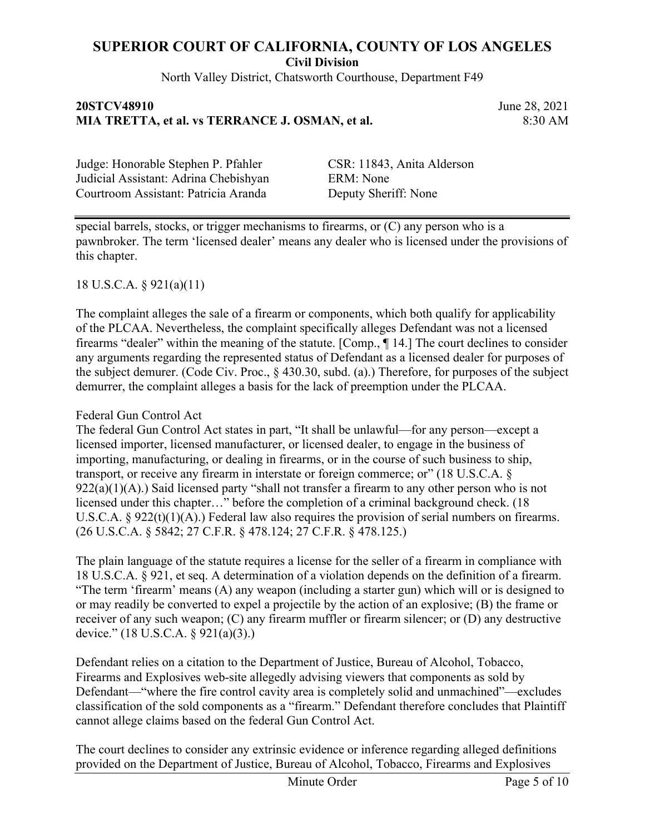North Valley District, Chatsworth Courthouse, Department F49

### **20STCV48910** June 28, 2021 **MIA TRETTA, et al. vs TERRANCE J. OSMAN, et al.** 8:30 AM

Judge: Honorable Stephen P. Pfahler CSR: 11843, Anita Alderson Judicial Assistant: Adrina Chebishyan ERM: None Courtroom Assistant: Patricia Aranda Deputy Sheriff: None

special barrels, stocks, or trigger mechanisms to firearms, or (C) any person who is a pawnbroker. The term 'licensed dealer' means any dealer who is licensed under the provisions of this chapter.

### 18 U.S.C.A. § 921(a)(11)

The complaint alleges the sale of a firearm or components, which both qualify for applicability of the PLCAA. Nevertheless, the complaint specifically alleges Defendant was not a licensed firearms "dealer" within the meaning of the statute. [Comp., ¶ 14.] The court declines to consider any arguments regarding the represented status of Defendant as a licensed dealer for purposes of the subject demurer. (Code Civ. Proc., § 430.30, subd. (a).) Therefore, for purposes of the subject demurrer, the complaint alleges a basis for the lack of preemption under the PLCAA.

#### Federal Gun Control Act

The federal Gun Control Act states in part, "It shall be unlawful—for any person—except a licensed importer, licensed manufacturer, or licensed dealer, to engage in the business of importing, manufacturing, or dealing in firearms, or in the course of such business to ship, transport, or receive any firearm in interstate or foreign commerce; or" (18 U.S.C.A. § 922(a)(1)(A).) Said licensed party "shall not transfer a firearm to any other person who is not licensed under this chapter…" before the completion of a criminal background check. (18 U.S.C.A. § 922(t)(1)(A).) Federal law also requires the provision of serial numbers on firearms. (26 U.S.C.A. § 5842; 27 C.F.R. § 478.124; 27 C.F.R. § 478.125.)

The plain language of the statute requires a license for the seller of a firearm in compliance with 18 U.S.C.A. § 921, et seq. A determination of a violation depends on the definition of a firearm. "The term 'firearm' means (A) any weapon (including a starter gun) which will or is designed to or may readily be converted to expel a projectile by the action of an explosive; (B) the frame or receiver of any such weapon; (C) any firearm muffler or firearm silencer; or (D) any destructive device." (18 U.S.C.A. § 921(a)(3).)

Defendant relies on a citation to the Department of Justice, Bureau of Alcohol, Tobacco, Firearms and Explosives web-site allegedly advising viewers that components as sold by Defendant—"where the fire control cavity area is completely solid and unmachined"—excludes classification of the sold components as a "firearm." Defendant therefore concludes that Plaintiff cannot allege claims based on the federal Gun Control Act.

The court declines to consider any extrinsic evidence or inference regarding alleged definitions provided on the Department of Justice, Bureau of Alcohol, Tobacco, Firearms and Explosives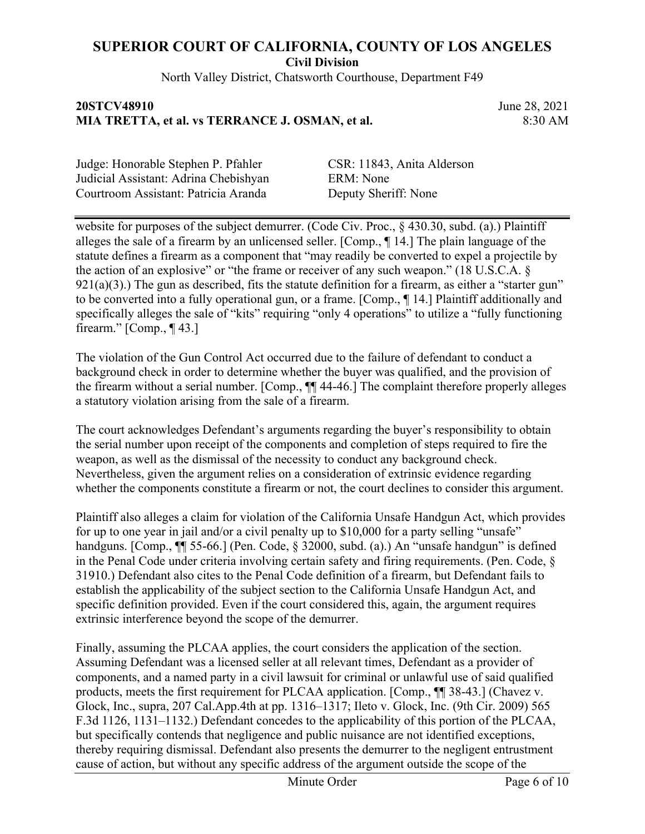North Valley District, Chatsworth Courthouse, Department F49

### **20STCV48910** June 28, 2021 **MIA TRETTA, et al. vs TERRANCE J. OSMAN, et al.** 8:30 AM

Judge: Honorable Stephen P. Pfahler CSR: 11843, Anita Alderson Judicial Assistant: Adrina Chebishyan ERM: None Courtroom Assistant: Patricia Aranda Deputy Sheriff: None

website for purposes of the subject demurrer. (Code Civ. Proc.,  $\frac{6}{5}$  430.30, subd. (a).) Plaintiff alleges the sale of a firearm by an unlicensed seller. [Comp., ¶ 14.] The plain language of the statute defines a firearm as a component that "may readily be converted to expel a projectile by the action of an explosive" or "the frame or receiver of any such weapon." (18 U.S.C.A. §  $921(a)(3)$ .) The gun as described, fits the statute definition for a firearm, as either a "starter gun" to be converted into a fully operational gun, or a frame. [Comp., ¶ 14.] Plaintiff additionally and specifically alleges the sale of "kits" requiring "only 4 operations" to utilize a "fully functioning firearm." [Comp., ¶ 43.]

The violation of the Gun Control Act occurred due to the failure of defendant to conduct a background check in order to determine whether the buyer was qualified, and the provision of the firearm without a serial number. [Comp., ¶¶ 44-46.] The complaint therefore properly alleges a statutory violation arising from the sale of a firearm.

The court acknowledges Defendant's arguments regarding the buyer's responsibility to obtain the serial number upon receipt of the components and completion of steps required to fire the weapon, as well as the dismissal of the necessity to conduct any background check. Nevertheless, given the argument relies on a consideration of extrinsic evidence regarding whether the components constitute a firearm or not, the court declines to consider this argument.

Plaintiff also alleges a claim for violation of the California Unsafe Handgun Act, which provides for up to one year in jail and/or a civil penalty up to \$10,000 for a party selling "unsafe" handguns. [Comp.,  $\P$ ] 55-66.] (Pen. Code, § 32000, subd. (a).) An "unsafe handgun" is defined in the Penal Code under criteria involving certain safety and firing requirements. (Pen. Code, § 31910.) Defendant also cites to the Penal Code definition of a firearm, but Defendant fails to establish the applicability of the subject section to the California Unsafe Handgun Act, and specific definition provided. Even if the court considered this, again, the argument requires extrinsic interference beyond the scope of the demurrer.

Finally, assuming the PLCAA applies, the court considers the application of the section. Assuming Defendant was a licensed seller at all relevant times, Defendant as a provider of components, and a named party in a civil lawsuit for criminal or unlawful use of said qualified products, meets the first requirement for PLCAA application. [Comp., ¶¶ 38-43.] (Chavez v. Glock, Inc., supra, 207 Cal.App.4th at pp. 1316–1317; Ileto v. Glock, Inc. (9th Cir. 2009) 565 F.3d 1126, 1131–1132.) Defendant concedes to the applicability of this portion of the PLCAA, but specifically contends that negligence and public nuisance are not identified exceptions, thereby requiring dismissal. Defendant also presents the demurrer to the negligent entrustment cause of action, but without any specific address of the argument outside the scope of the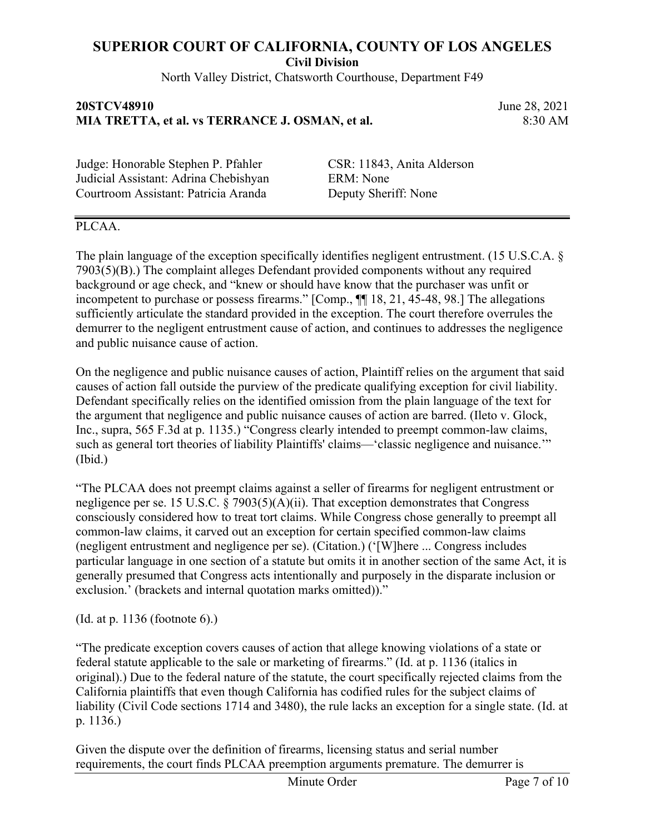North Valley District, Chatsworth Courthouse, Department F49

### **20STCV48910** June 28, 2021 **MIA TRETTA, et al. vs TERRANCE J. OSMAN, et al.** 8:30 AM

Judge: Honorable Stephen P. Pfahler CSR: 11843, Anita Alderson Judicial Assistant: Adrina Chebishyan ERM: None Courtroom Assistant: Patricia Aranda Deputy Sheriff: None

### PLCAA.

The plain language of the exception specifically identifies negligent entrustment. (15 U.S.C.A. § 7903(5)(B).) The complaint alleges Defendant provided components without any required background or age check, and "knew or should have know that the purchaser was unfit or incompetent to purchase or possess firearms." [Comp., ¶¶ 18, 21, 45-48, 98.] The allegations sufficiently articulate the standard provided in the exception. The court therefore overrules the demurrer to the negligent entrustment cause of action, and continues to addresses the negligence and public nuisance cause of action.

On the negligence and public nuisance causes of action, Plaintiff relies on the argument that said causes of action fall outside the purview of the predicate qualifying exception for civil liability. Defendant specifically relies on the identified omission from the plain language of the text for the argument that negligence and public nuisance causes of action are barred. (Ileto v. Glock, Inc., supra, 565 F.3d at p. 1135.) "Congress clearly intended to preempt common-law claims, such as general tort theories of liability Plaintiffs' claims—'classic negligence and nuisance.'" (Ibid.)

"The PLCAA does not preempt claims against a seller of firearms for negligent entrustment or negligence per se. 15 U.S.C. § 7903(5)(A)(ii). That exception demonstrates that Congress consciously considered how to treat tort claims. While Congress chose generally to preempt all common-law claims, it carved out an exception for certain specified common-law claims (negligent entrustment and negligence per se). (Citation.) ('[W]here ... Congress includes particular language in one section of a statute but omits it in another section of the same Act, it is generally presumed that Congress acts intentionally and purposely in the disparate inclusion or exclusion.' (brackets and internal quotation marks omitted))."

(Id. at p. 1136 (footnote 6).)

"The predicate exception covers causes of action that allege knowing violations of a state or federal statute applicable to the sale or marketing of firearms." (Id. at p. 1136 (italics in original).) Due to the federal nature of the statute, the court specifically rejected claims from the California plaintiffs that even though California has codified rules for the subject claims of liability (Civil Code sections 1714 and 3480), the rule lacks an exception for a single state. (Id. at p. 1136.)

Given the dispute over the definition of firearms, licensing status and serial number requirements, the court finds PLCAA preemption arguments premature. The demurrer is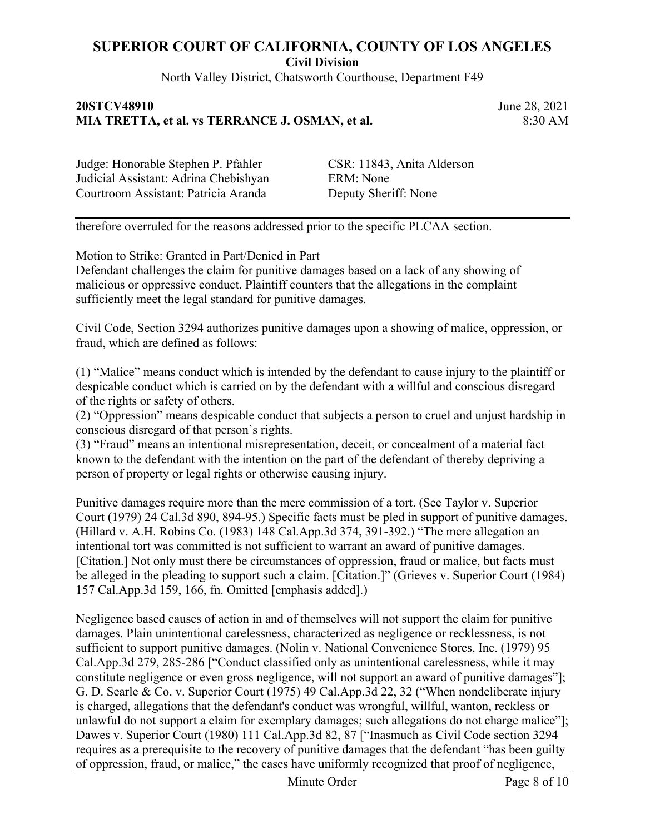North Valley District, Chatsworth Courthouse, Department F49

### **20STCV48910** June 28, 2021 **MIA TRETTA, et al. vs TERRANCE J. OSMAN, et al.** 8:30 AM

Judge: Honorable Stephen P. Pfahler CSR: 11843, Anita Alderson Judicial Assistant: Adrina Chebishyan ERM: None Courtroom Assistant: Patricia Aranda Deputy Sheriff: None

therefore overruled for the reasons addressed prior to the specific PLCAA section.

Motion to Strike: Granted in Part/Denied in Part

Defendant challenges the claim for punitive damages based on a lack of any showing of malicious or oppressive conduct. Plaintiff counters that the allegations in the complaint sufficiently meet the legal standard for punitive damages.

Civil Code, Section 3294 authorizes punitive damages upon a showing of malice, oppression, or fraud, which are defined as follows:

(1) "Malice" means conduct which is intended by the defendant to cause injury to the plaintiff or despicable conduct which is carried on by the defendant with a willful and conscious disregard of the rights or safety of others.

(2) "Oppression" means despicable conduct that subjects a person to cruel and unjust hardship in conscious disregard of that person's rights.

(3) "Fraud" means an intentional misrepresentation, deceit, or concealment of a material fact known to the defendant with the intention on the part of the defendant of thereby depriving a person of property or legal rights or otherwise causing injury.

Punitive damages require more than the mere commission of a tort. (See Taylor v. Superior Court (1979) 24 Cal.3d 890, 894-95.) Specific facts must be pled in support of punitive damages. (Hillard v. A.H. Robins Co. (1983) 148 Cal.App.3d 374, 391-392.) "The mere allegation an intentional tort was committed is not sufficient to warrant an award of punitive damages. [Citation.] Not only must there be circumstances of oppression, fraud or malice, but facts must be alleged in the pleading to support such a claim. [Citation.]" (Grieves v. Superior Court (1984) 157 Cal.App.3d 159, 166, fn. Omitted [emphasis added].)

Negligence based causes of action in and of themselves will not support the claim for punitive damages. Plain unintentional carelessness, characterized as negligence or recklessness, is not sufficient to support punitive damages. (Nolin v. National Convenience Stores, Inc. (1979) 95 Cal.App.3d 279, 285-286 ["Conduct classified only as unintentional carelessness, while it may constitute negligence or even gross negligence, will not support an award of punitive damages"]; G. D. Searle & Co. v. Superior Court (1975) 49 Cal.App.3d 22, 32 ("When nondeliberate injury is charged, allegations that the defendant's conduct was wrongful, willful, wanton, reckless or unlawful do not support a claim for exemplary damages; such allegations do not charge malice"]; Dawes v. Superior Court (1980) 111 Cal.App.3d 82, 87 ["Inasmuch as Civil Code section 3294 requires as a prerequisite to the recovery of punitive damages that the defendant "has been guilty of oppression, fraud, or malice," the cases have uniformly recognized that proof of negligence,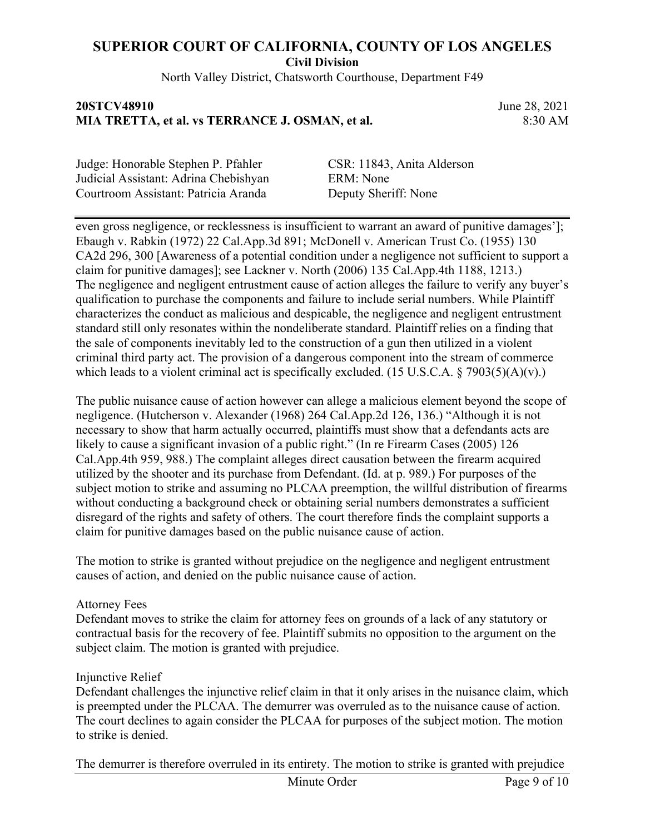North Valley District, Chatsworth Courthouse, Department F49

### **20STCV48910** June 28, 2021 **MIA TRETTA, et al. vs TERRANCE J. OSMAN, et al.** 8:30 AM

Judge: Honorable Stephen P. Pfahler CSR: 11843, Anita Alderson Judicial Assistant: Adrina Chebishyan ERM: None Courtroom Assistant: Patricia Aranda Deputy Sheriff: None

even gross negligence, or recklessness is insufficient to warrant an award of punitive damages']; Ebaugh v. Rabkin (1972) 22 Cal.App.3d 891; McDonell v. American Trust Co. (1955) 130 CA2d 296, 300 [Awareness of a potential condition under a negligence not sufficient to support a claim for punitive damages]; see Lackner v. North (2006) 135 Cal.App.4th 1188, 1213.) The negligence and negligent entrustment cause of action alleges the failure to verify any buyer's qualification to purchase the components and failure to include serial numbers. While Plaintiff characterizes the conduct as malicious and despicable, the negligence and negligent entrustment standard still only resonates within the nondeliberate standard. Plaintiff relies on a finding that the sale of components inevitably led to the construction of a gun then utilized in a violent criminal third party act. The provision of a dangerous component into the stream of commerce which leads to a violent criminal act is specifically excluded. (15 U.S.C.A.  $\S$  7903(5)(A)(v).)

The public nuisance cause of action however can allege a malicious element beyond the scope of negligence. (Hutcherson v. Alexander (1968) 264 Cal.App.2d 126, 136.) "Although it is not necessary to show that harm actually occurred, plaintiffs must show that a defendants acts are likely to cause a significant invasion of a public right." (In re Firearm Cases (2005) 126 Cal.App.4th 959, 988.) The complaint alleges direct causation between the firearm acquired utilized by the shooter and its purchase from Defendant. (Id. at p. 989.) For purposes of the subject motion to strike and assuming no PLCAA preemption, the willful distribution of firearms without conducting a background check or obtaining serial numbers demonstrates a sufficient disregard of the rights and safety of others. The court therefore finds the complaint supports a claim for punitive damages based on the public nuisance cause of action.

The motion to strike is granted without prejudice on the negligence and negligent entrustment causes of action, and denied on the public nuisance cause of action.

#### Attorney Fees

Defendant moves to strike the claim for attorney fees on grounds of a lack of any statutory or contractual basis for the recovery of fee. Plaintiff submits no opposition to the argument on the subject claim. The motion is granted with prejudice.

#### Injunctive Relief

Defendant challenges the injunctive relief claim in that it only arises in the nuisance claim, which is preempted under the PLCAA. The demurrer was overruled as to the nuisance cause of action. The court declines to again consider the PLCAA for purposes of the subject motion. The motion to strike is denied.

The demurrer is therefore overruled in its entirety. The motion to strike is granted with prejudice